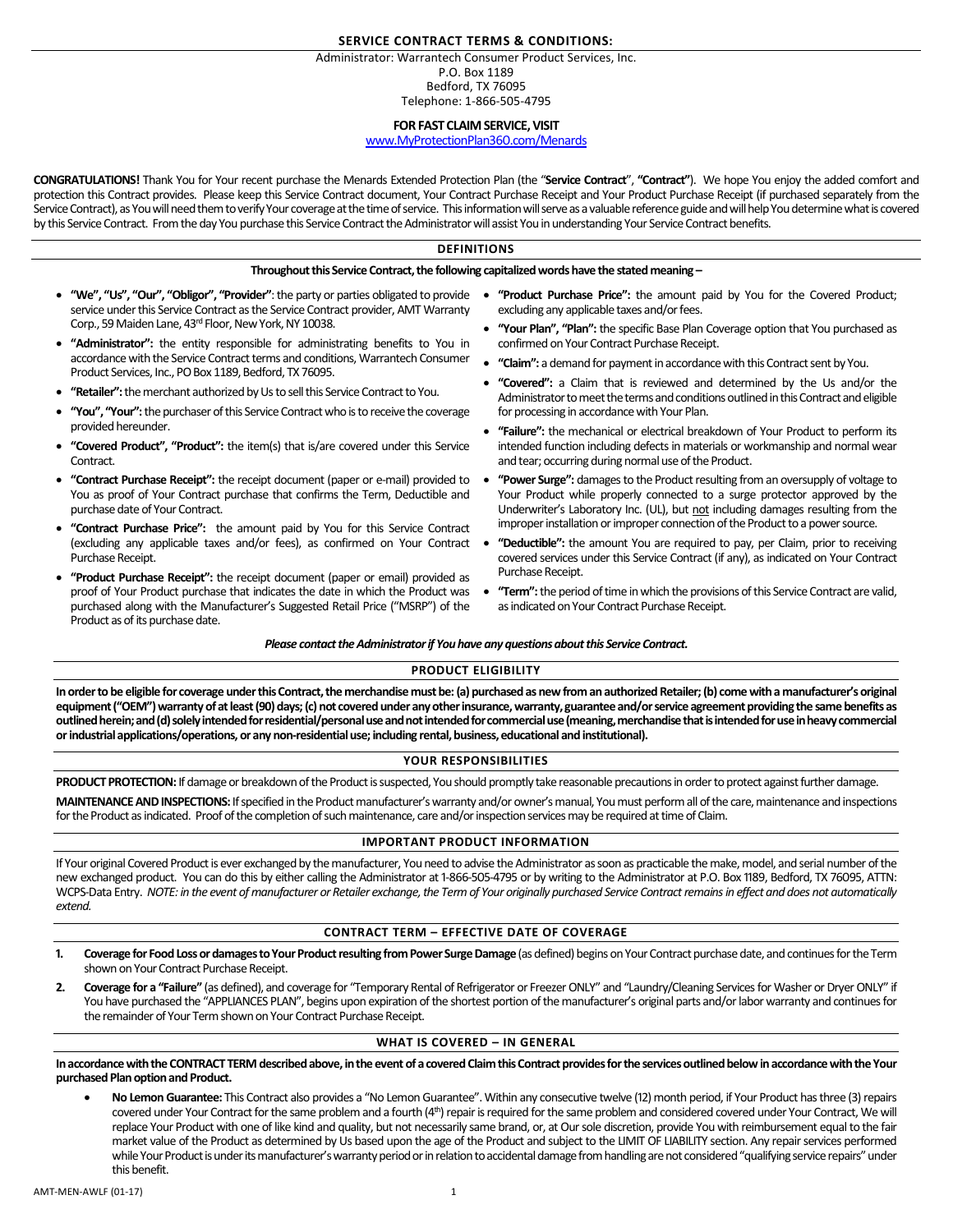## **SERVICE CONTRACT TERMS & CONDITIONS:**

Administrator: Warrantech Consumer Product Services, Inc. P.O. Box 1189 Bedford, TX 76095

# Telephone: 1-866-505-4795 **FOR FAST CLAIM SERVICE, VISIT**

# [www.MyProtectionPlan360.com/Menards](http://www.myprotectionplan360.com/)

**CONGRATULATIONS!** Thank You for Your recent purchase the Menards Extended Protection Plan (the "**Service Contract**", **"Contract"**). We hope You enjoy the added comfort and protection this Contract provides. Please keep this Service Contract document, Your Contract Purchase Receipt and Your Product Purchase Receipt (if purchased separately from the Service Contract), as You will need them to verify Your coverage at the time of service. This information will serve as a valuable reference guide and will help You determine what is covered by this Service Contract. From the day You purchase this Service Contract the Administrator will assist You in understanding Your Service Contract benefits.

## **DEFINITIONS**

**Throughout this Service Contract, the following capitalized words have the stated meaning –**

- **"We", "Us", "Our", "Obligor", "Provider"**: the party or parties obligated to provide service under this Service Contract as the Service Contract provider, AMT Warranty Corp., 59 Maiden Lane, 43rd Floor, New York, NY 10038.
- **"Administrator":** the entity responsible for administrating benefits to You in accordance with the Service Contract terms and conditions, Warrantech Consumer Product Services, Inc., PO Box 1189, Bedford, TX 76095.
- "Retailer": the merchant authorized by Us to sell this Service Contract to You.
- **"You", "Your":**the purchaser of this Service Contractwho is to receive the coverage provided hereunder.
- **"Covered Product", "Product":** the item(s) that is/are covered under this Service **Contract**
- **"Contract Purchase Receipt":** the receipt document (paper or e-mail) provided to You as proof of Your Contract purchase that confirms the Term, Deductible and purchase date of Your Contract.
- **"Contract Purchase Price":** the amount paid by You for this Service Contract (excluding any applicable taxes and/or fees), as confirmed on Your Contract Purchase Receipt.
- **"Product Purchase Receipt":** the receipt document (paper or email) provided as proof of Your Product purchase that indicates the date in which the Product was purchased along with the Manufacturer's Suggested Retail Price ("MSRP") of the Product as of its purchase date.
- **"Product Purchase Price":** the amount paid by You for the Covered Product; excluding any applicable taxes and/or fees.
- **"Your Plan", "Plan":** the specific Base Plan Coverage option that You purchased as confirmed on Your Contract Purchase Receipt.
- **"Claim":** a demand for payment in accordance with this Contract sent by You.
- **"Covered":** a Claim that is reviewed and determined by the Us and/or the Administrator to meet the terms and conditions outlined in this Contract and eligible for processing in accordance with Your Plan.
- **"Failure":** the mechanical or electrical breakdown of Your Product to perform its intended function including defects in materials or workmanship and normal wear and tear; occurring during normal use of the Product.
- "Power Surge": damages to the Product resulting from an oversupply of voltage to Your Product while properly connected to a surge protector approved by the Underwriter's Laboratory Inc. (UL), but not including damages resulting from the improper installation or improper connection of the Product to a power source.
- **"Deductible":** the amount You are required to pay, per Claim, prior to receiving covered services under this Service Contract (if any), as indicated on Your Contract Purchase Receipt.
- **"Term":** the period of time in which the provisions of this Service Contract are valid, as indicated on Your Contract Purchase Receipt.

## *Please contact the Administrator if Youhave any questions about this Service Contract.*

# **PRODUCT ELIGIBILITY**

**In order to be eligible for coverage under this Contract, the merchandise mustbe: (a) purchased as new from an authorized Retailer; (b) come with a manufacturer's original equipment ("OEM") warranty of at least (90) days; (c) not covered under any other insurance, warranty, guarantee and/or service agreement providing the same benefits as outlined herein; and (d) solely intended for residential/personal use and not intended for commercial use (meaning, merchandise that is intended for use in heavy commercial or industrial applications/operations, or any non-residential use; including rental, business, educational and institutional).**

## **YOUR RESPONSIBILITIES**

PRODUCT PROTECTION: If damage or breakdown of the Product is suspected, You should promptly take reasonable precautions in order to protect against further damage.

MAINTENANCE AND INSPECTIONS: If specified in the Product manufacturer's warranty and/or owner's manual, You must perform all of the care, maintenance and inspections for the Product as indicated. Proof of the completion of such maintenance, care and/or inspection services may be required at time of Claim.

# **IMPORTANT PRODUCT INFORMATION**

If Your original Covered Product is ever exchanged by the manufacturer, You need to advise the Administrator as soon as practicable the make, model, and serial number of the new exchanged product. You can do this by either calling the Administrator at 1-866-505-4795 or by writing to the Administrator at P.O. Box 1189, Bedford, TX 76095, ATTN: WCPS-Data Entry. *NOTE: in the event of manufacturer or Retailer exchange, the Term of Your originally purchased Service Contract remains in effect and does not automatically extend.*

## **CONTRACT TERM – EFFECTIVE DATE OF COVERAGE**

- 1. Coverage for Food Loss or damages to Your Product resulting from Power Surge Damage (as defined) begins on Your Contract purchase date, and continues for the Term shown on Your Contract Purchase Receipt.
- **2. Coverage for a "Failure"** (as defined), and coverage for "Temporary Rental of Refrigerator or Freezer ONLY" and "Laundry/Cleaning Services for Washer or Dryer ONLY" if You have purchased the "APPLIANCES PLAN", begins upon expiration of the shortest portion of the manufacturer's original parts and/or labor warranty and continues for the remainder of Your Term shown on Your Contract Purchase Receipt.

# **WHAT IS COVERED – IN GENERAL**

**In accordance with the CONTRACT TERM described above, in the event of a covered Claim this Contract provides for the services outlined below in accordance with the Your purchased Plan option and Product.** 

 **No Lemon Guarantee:** This Contract also provides a "No Lemon Guarantee". Within any consecutive twelve (12) month period, if Your Product has three (3) repairs covered under Your Contract for the same problem and a fourth (4<sup>th</sup>) repair is required for the same problem and considered covered under Your Contract, We will replace Your Product with one of like kind and quality, but not necessarily same brand, or, at Our sole discretion, provide You with reimbursement equal to the fair market value of the Product as determined by Us based upon the age of the Product and subject to the LIMIT OF LIABILITY section. Any repair services performed while Your Product is under its manufacturer's warranty period or in relation to accidental damage from handling are not considered "qualifying service repairs" under this benefit.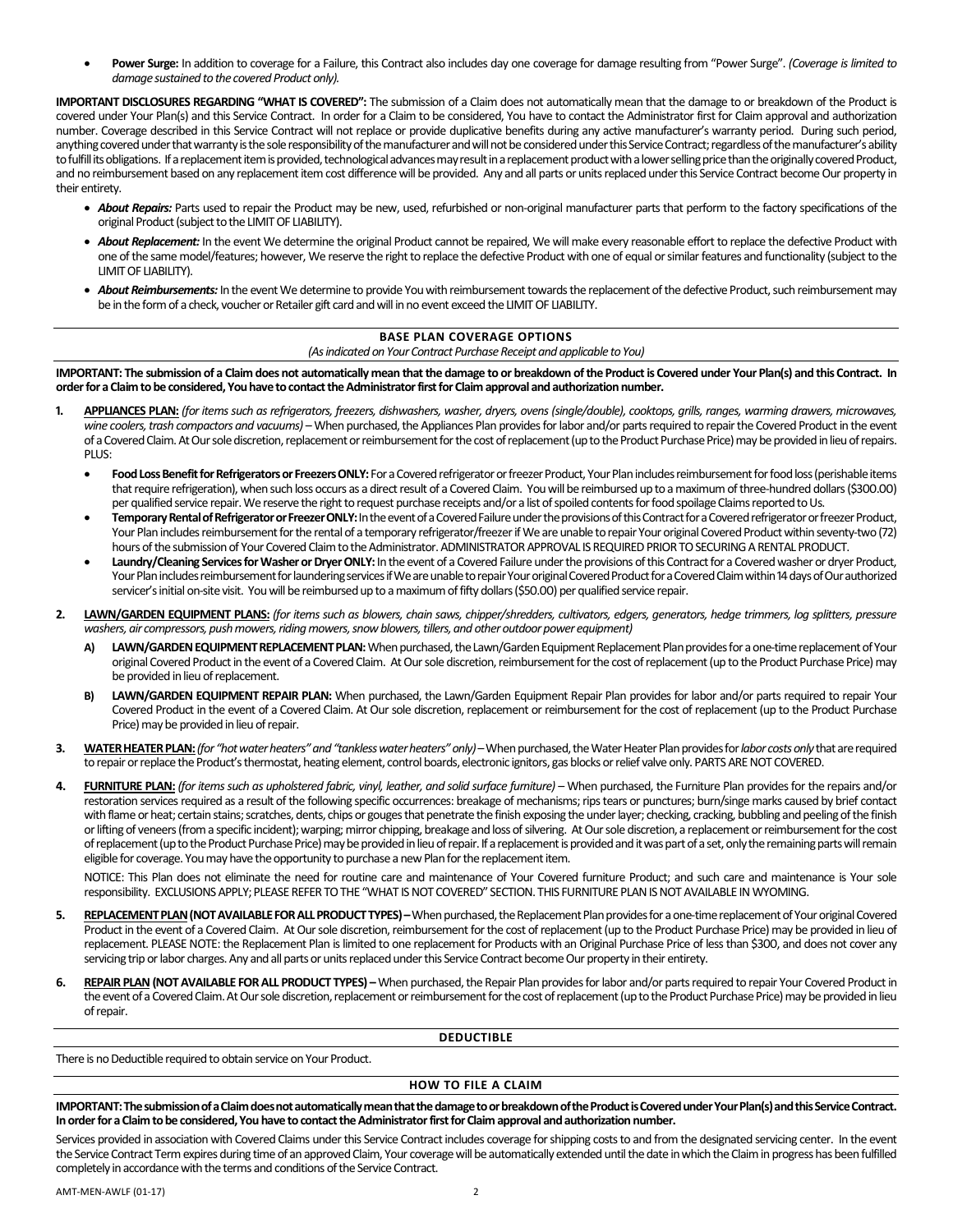**Power Surge:** In addition to coverage for a Failure, this Contract also includes day one coverage for damage resulting from "Power Surge". *(Coverage is limited to*  damage sustained to the covered Product only).

**IMPORTANT DISCLOSURES REGARDING "WHAT IS COVERED":** The submission of a Claim does not automatically mean that the damage to or breakdown of the Product is covered under Your Plan(s) and this Service Contract. In order for a Claim to be considered, You have to contact the Administrator first for Claim approval and authorization number. Coverage described in this Service Contract will not replace or provide duplicative benefits during any active manufacturer's warranty period. During such period, anything covered under that warranty is the sole responsibility of the manufacturer and will not be considered under this Service Contract; regardless of the manufacturer's ability to fulfill its obligations. If a replacement item is provided, technological advances may result in a replacement product with a lower selling price than the originally covered Product, and no reimbursement based on any replacement item cost difference will be provided. Any and all parts or units replaced under this Service Contract become Our property in their entirety.

- *About Repairs:* Parts used to repair the Product may be new, used, refurbished or non-original manufacturer parts that perform to the factory specifications of the original Product(subject to the LIMIT OF LIABILITY).
- *About Replacement:* In the event We determine the original Product cannot be repaired, We will make every reasonable effort to replace the defective Product with one of the same model/features; however, We reserve the right to replace the defective Product with one of equal or similar features and functionality (subject to the LIMIT OF LIABILITY).
- *About Reimbursements:* In the event We determine to provide Youwith reimbursement towards the replacement of the defective Product, such reimbursement may be in the form of a check, voucher or Retailer gift card and will in no event exceed the LIMIT OF LIABILITY.

## **BASE PLAN COVERAGE OPTIONS**

*(As indicated on Your Contract Purchase Receipt and applicable to You)*

**IMPORTANT: The submission of a Claim does not automatically mean that the damage to or breakdown of the Product is Covered under Your Plan(s) and this Contract. In order for a Claim to be considered, Youhave to contact the Administrator first for Claim approval and authorization number.**

- **1. APPLIANCES PLAN:** *(for items such as refrigerators, freezers, dishwashers, washer, dryers, ovens (single/double), cooktops, grills, ranges, warming drawers, microwaves,*  wine coolers, trash compactors and vacuums) – When purchased, the Appliances Plan provides for labor and/or parts required to repair the Covered Product in the event of a Covered Claim. At Our sole discretion, replacement or reimbursement for the cost of replacement (up to the Product Purchase Price) may be provided in lieu of repairs. PLUS:
	- Food Loss Benefit for Refrigerators or Freezers ONLY: For a Covered refrigerator or freezer Product, Your Plan includes reimbursement for food loss (perishable items that require refrigeration), when such loss occurs as a direct result of a Covered Claim. Youwill be reimbursed up to a maximum of three-hundred dollars (\$300.00) per qualified service repair. We reserve the right to request purchase receipts and/or a list of spoiled contents for food spoilage Claims reported to Us.
	- **Temporary Rental of Refrigerator or Freezer ONLY:** In the event of a Covered Failure under the provisions of this Contract for a Covered refrigerator or freezer Product, Your Plan includes reimbursement for the rental of a temporary refrigerator/freezer if We are unable to repair Your original Covered Product within seventy-two (72) hours of the submission of Your Covered Claim to the Administrator. ADMINISTRATOR APPROVAL IS REQUIRED PRIOR TO SECURING A RENTAL PRODUCT.
	- Laundry/Cleaning Services for Washer or Dryer ONLY: In the event of a Covered Failure under the provisions of this Contract for a Covered washer or dryer Product, Your Plan includes reimbursement for laundering services if We are unable to repair Your original Covered Product for a Covered Claim within 14 days of Our authorized servicer's initial on-site visit. You will be reimbursed up to a maximum of fifty dollars (\$50.00) per qualified service repair.
- **2. LAWN/GARDEN EQUIPMENT PLANS:** *(for items such as blowers, chain saws, chipper/shredders, cultivators, edgers, generators, hedge trimmers, log splitters, pressure washers, air compressors, push mowers, riding mowers, snow blowers, tillers, and other outdoor power equipment)* 
	- LAWN/GARDEN EQUIPMENT REPLACEMENT PLAN: When purchased, the Lawn/Garden Equipment Replacement Plan provides for a one-time replacement of Your original Covered Product in the event of a Covered Claim. At Our sole discretion, reimbursement for the cost of replacement (up to the Product Purchase Price) may be provided in lieu of replacement.
	- **B) LAWN/GARDEN EQUIPMENT REPAIR PLAN:** When purchased, the Lawn/Garden Equipment Repair Plan provides for labor and/or parts required to repair Your Covered Product in the event of a Covered Claim. At Our sole discretion, replacement or reimbursement for the cost of replacement (up to the Product Purchase Price) may be provided in lieu of repair.
- **3. WATER HEATERPLAN:***(for "hot water heaters"and "tankless water heaters" only) –*When purchased, the Water Heater Plan provides for *labor costs only* that are required to repair or replace the Product's thermostat, heating element, control boards, electronic ignitors, gas blocks or relief valve only. PARTS ARE NOT COVERED.
- **4. FURNITURE PLAN:** *(for items such as upholstered fabric, vinyl, leather, and solid surface furniture)* When purchased, the Furniture Plan provides for the repairs and/or restoration services required as a result of the following specific occurrences: breakage of mechanisms; rips tears or punctures; burn/singe marks caused by brief contact with flame or heat; certain stains; scratches, dents, chips or gouges that penetrate the finish exposing the under layer; checking, cracking, bubbling and peeling of the finish or lifting of veneers (from a specific incident); warping; mirror chipping, breakage and loss of silvering. At Our sole discretion, a replacement or reimbursement for the cost of replacement (up to the Product Purchase Price) may be provided in lieu of repair. If a replacement is provided and it was part of a set, only the remaining parts will remain eligible for coverage. Youmay have the opportunity to purchase a new Plan for the replacement item.

NOTICE: This Plan does not eliminate the need for routine care and maintenance of Your Covered furniture Product; and such care and maintenance is Your sole responsibility. EXCLUSIONS APPLY; PLEASE REFER TO THE "WHAT IS NOT COVERED" SECTION. THIS FURNITURE PLAN IS NOT AVAILABLE IN WYOMING.

- **5. REPLACEMENT PLAN(NOT AVAILABLE FOR ALL PRODUCT TYPES) –**When purchased, the Replacement Plan provides for a one-time replacement of Your original Covered Product in the event of a Covered Claim. At Our sole discretion, reimbursement for the cost of replacement (up to the Product Purchase Price) may be provided in lieu of replacement. PLEASE NOTE: the Replacement Plan is limited to one replacement for Products with an Original Purchase Price of less than \$300, and does not cover any servicing trip or labor charges. Any and all parts or units replaced under this Service Contract become Our property in their entirety.
- **6. REPAIR PLAN(NOT AVAILABLE FOR ALL PRODUCT TYPES) –**When purchased, the Repair Plan provides for labor and/or parts required to repair Your Covered Product in the event of a Covered Claim. At Our sole discretion, replacement or reimbursement for the cost of replacement (up to the Product Purchase Price) may be provided in lieu of repair.

## **DEDUCTIBLE**

There is no Deductible required to obtain service on Your Product.

# **HOW TO FILE A CLAIM**

**IMPORTANT: The submission of a Claim does not automatically mean that the damage to or breakdown of the Productis Coveredunder Your Plan(s) and this Service Contract. In order for a Claim to be considered, You have to contact the Administrator first for Claim approval and authorization number.**

Services provided in association with Covered Claims under this Service Contract includes coverage for shipping costs to and from the designated servicing center. In the event the Service Contract Term expires during time of an approved Claim, Your coverage will be automatically extended until the date in which the Claim in progress has been fulfilled completely in accordance with the terms and conditions of the Service Contract.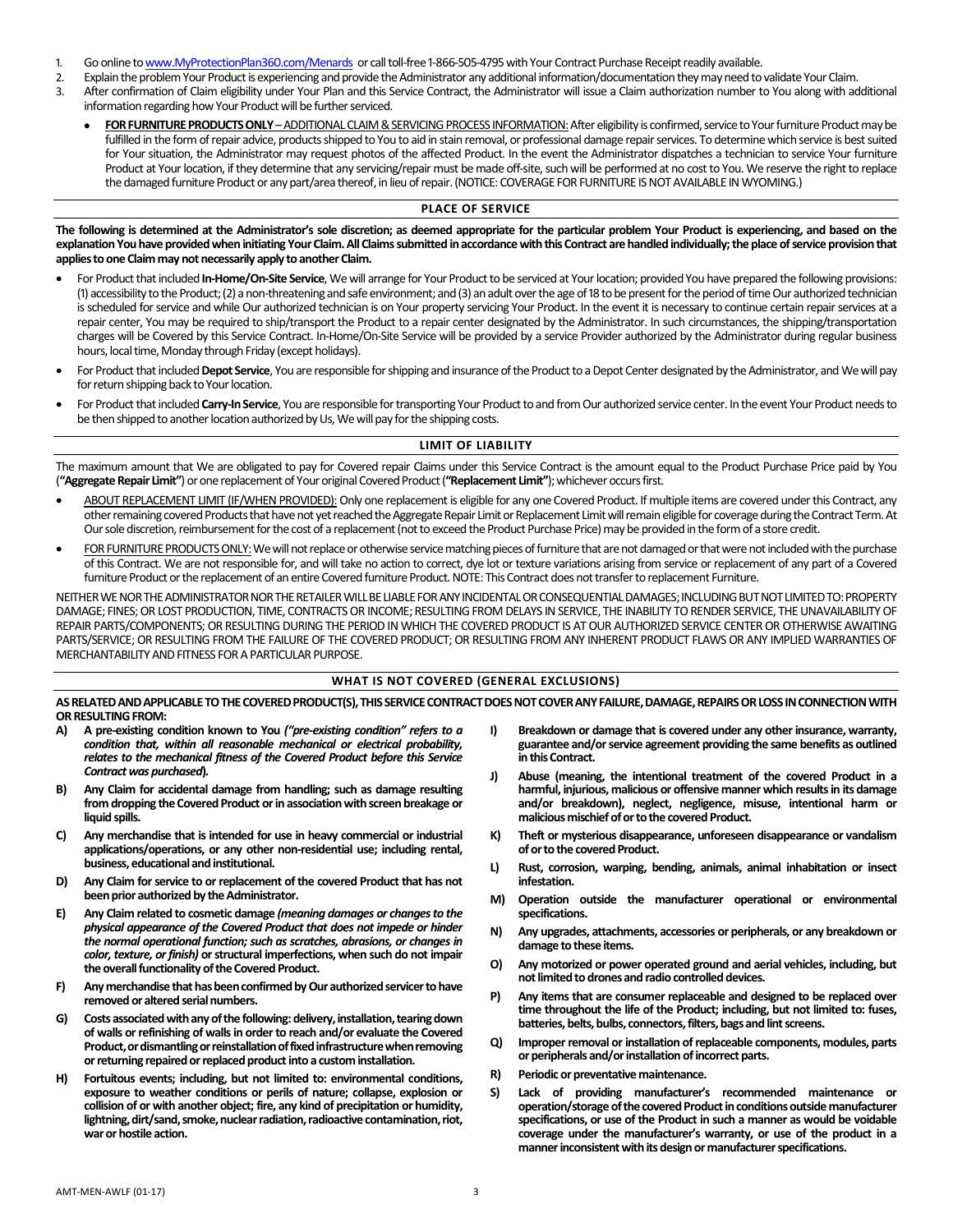- 1. Go online t[o www.MyProtectionPlan360.com/Menards](http://www.myprotectionplan360.com/Menards) or call toll-free 1-866-505-4795 with Your Contract Purchase Receipt readily available.
- 2. Explain the problem Your Product is experiencing and provide the Administrator any additional information/documentation they may need to validate Your Claim.<br>3. After confirmation of Claim eligibility under Your Plan an
- After confirmation of Claim eligibility under Your Plan and this Service Contract, the Administrator will issue a Claim authorization number to You along with additional information regarding how Your Product will be further serviced.
	- FOR FURNITURE PRODUCTS ONLY ADDITIONAL CLAIM & SERVICING PROCESS INFORMATION: After eligibility is confirmed, service to Your furniture Product may be fulfilled in the form of repair advice, products shipped to You to aid in stain removal, or professional damage repair services. To determine which service is best suited for Your situation, the Administrator may request photos of the affected Product. In the event the Administrator dispatches a technician to service Your furniture Product at Your location, if they determine that any servicing/repair must be made off-site, such will be performed at no cost to You. We reserve the right to replace the damaged furniture Product or any part/area thereof, in lieu of repair.(NOTICE: COVERAGE FOR FURNITURE IS NOT AVAILABLE IN WYOMING.)

## **PLACE OF SERVICE**

**The following is determined at the Administrator's sole discretion; as deemed appropriate for the particular problem Your Product is experiencing, and based on the explanation You have provided when initiating Your Claim. All Claims submitted in accordance with this Contract are handled individually; the place of service provision that applies to one Claim may not necessarily apply to another Claim.** 

- For Product that included In-Home/On-Site Service, We will arrange for Your Product to be serviced at Your location; provided You have prepared the following provisions: (1) accessibility to the Product; (2) a non-threatening and safe environment; and (3) an adult over the age of 18 to be present for the period of time Our authorized technician is scheduled for service and while Our authorized technician is on Your property servicing Your Product. In the event it is necessary to continue certain repair services at a repair center, You may be required to ship/transport the Product to a repair center designated by the Administrator. In such circumstances, the shipping/transportation charges will be Covered by this Service Contract. In-Home/On-Site Service will be provided by a service Provider authorized by the Administrator during regular business hours, local time, Monday through Friday (except holidays).
- For Product that included Depot Service, You are responsible for shipping and insurance of the Product to a Depot Center designated by the Administrator, and We will pay for return shipping back to Your location.
- For Product that included *Carry-In Service*, You are responsible for transporting Your Product to and from Our authorized service center. In the event Your Product needs to be then shipped to another location authorized by Us, We will pay for the shipping costs.

## **LIMIT OF LIABILITY**

The maximum amount that We are obligated to pay for Covered repair Claims under this Service Contract is the amount equal to the Product Purchase Price paid by You (**"Aggregate Repair Limit"**) or one replacement of Your original Covered Product (**"Replacement Limit"**); whichever occurs first.

- UT REPLACEMENT LIMIT (IF/WHEN PROVIDED): Only one replacement is eligible for any one Covered Product. If multiple items are covered under this Contract, any other remaining covered Products that have not yet reached the Aggregate Repair Limit or Replacement Limit will remain eligible for coverage during the Contract Term.At Our sole discretion, reimbursement for the cost of a replacement (not to exceed the Product Purchase Price) may be provided in the form of a store credit.
- FOR FURNITURE PRODUCTS ONLY: We will not replace or otherwise service matching pieces of furniture that are not damaged or that were not included with the purchase of this Contract. We are not responsible for, and will take no action to correct, dye lot or texture variations arising from service or replacement of any part of a Covered furniture Product or the replacement of an entire Covered furniture Product. NOTE: This Contract does not transfer to replacement Furniture.

NEITHER WE NOR THE ADMINISTRATOR NOR THE RETAILER WILL BE LIABLE FOR ANY INCIDENTAL OR CONSEQUENTIAL DAMAGES; INCLUDING BUT NOT LIMITED TO: PROPERTY DAMAGE; FINES; OR LOST PRODUCTION, TIME, CONTRACTS OR INCOME; RESULTING FROM DELAYS IN SERVICE, THE INABILITY TO RENDER SERVICE, THE UNAVAILABILITY OF REPAIR PARTS/COMPONENTS; OR RESULTING DURING THE PERIOD IN WHICH THE COVERED PRODUCT IS AT OUR AUTHORIZED SERVICE CENTER OR OTHERWISE AWAITING PARTS/SERVICE; OR RESULTING FROM THE FAILURE OF THE COVERED PRODUCT; OR RESULTING FROM ANY INHERENT PRODUCT FLAWS OR ANY IMPLIED WARRANTIES OF MERCHANTABILITY AND FITNESS FOR A PARTICULAR PURPOSE.

## **WHAT IS NOT COVERED (GENERAL EXCLUSIONS)**

AS RELATED AND APPLICABLE TO THE COVERED PRODUCT(S), THIS SERVICE CONTRACT DOES NOT COVER ANY FAILURE, DAMAGE, REPAIRS OR LOSS IN CONNECTION WITH **OR RESULTING FROM:** 

- **A) A pre-existing condition known to You** *("pre-existing condition" refers to a condition that, within all reasonable mechanical or electrical probability, relates to the mechanical fitness of the Covered Product before this Service Contract was purchased***)***.*
- **B) Any Claim for accidental damage from handling; such as damage resulting from dropping the Covered Product or in association with screen breakage or liquid spills.**
- **C) Any merchandise that is intended for use in heavy commercial or industrial applications/operations, or any other non-residential use; including rental, business, educational and institutional.**
- **D) Any Claim for service to or replacement of the covered Product that has not been prior authorized by the Administrator.**
- **E) Any Claim related to cosmetic damage** *(meaning damages or changes to the physical appearance of the Covered Product that does not impede or hinder the normal operational function; such as scratches, abrasions, or changes in color, texture, or finish)* **or structural imperfections, when such do not impair the overall functionality of the Covered Product.**
- **F) Any merchandise that has been confirmed by Our authorized servicer to have removed or altered serial numbers.**
- **G) Costs associated with any of the following: delivery, installation, tearing down of walls or refinishing of walls in order to reach and/or evaluate the Covered Product, or dismantling or reinstallation of fixed infrastructure when removing or returning repaired or replaced product into a custom installation.**
- **H) Fortuitous events; including, but not limited to: environmental conditions, exposure to weather conditions or perils of nature; collapse, explosion or collision of or with another object; fire, any kind of precipitation or humidity, lightning, dirt/sand, smoke, nuclear radiation, radioactive contamination, riot, war or hostile action.**
- **I) Breakdown or damage that is covered under any other insurance, warranty, guarantee and/or service agreement providing the same benefits as outlined in this Contract.**
- **J) Abuse (meaning, the intentional treatment of the covered Product in a harmful, injurious, malicious or offensive manner which results in its damage and/or breakdown), neglect, negligence, misuse, intentional harm or malicious mischief of or to the covered Product.**
- **K) Theft or mysterious disappearance, unforeseen disappearance or vandalism of or to the covered Product.**
- **L) Rust, corrosion, warping, bending, animals, animal inhabitation or insect infestation.**
- **M) Operation outside the manufacturer operational or environmental specifications.**
- **N) Any upgrades, attachments, accessories or peripherals, or any breakdown or damage to these items.**
- **O) Any motorized or power operated ground and aerial vehicles, including, but not limited to drones and radio controlled devices.**
- **P) Any items that are consumer replaceable and designed to be replaced over time throughout the life of the Product; including, but not limited to: fuses, batteries, belts, bulbs, connectors, filters, bags and lint screens.**
- **Q) Improper removal or installation of replaceable components, modules, parts or peripherals and/or installation of incorrect parts.**
- **R) Periodic or preventative maintenance.**
- **S) Lack of providing manufacturer's recommended maintenance or operation/storage of the covered Product in conditions outside manufacturer specifications, or use of the Product in such a manner as would be voidable coverage under the manufacturer's warranty, or use of the product in a manner inconsistent with its design or manufacturer specifications.**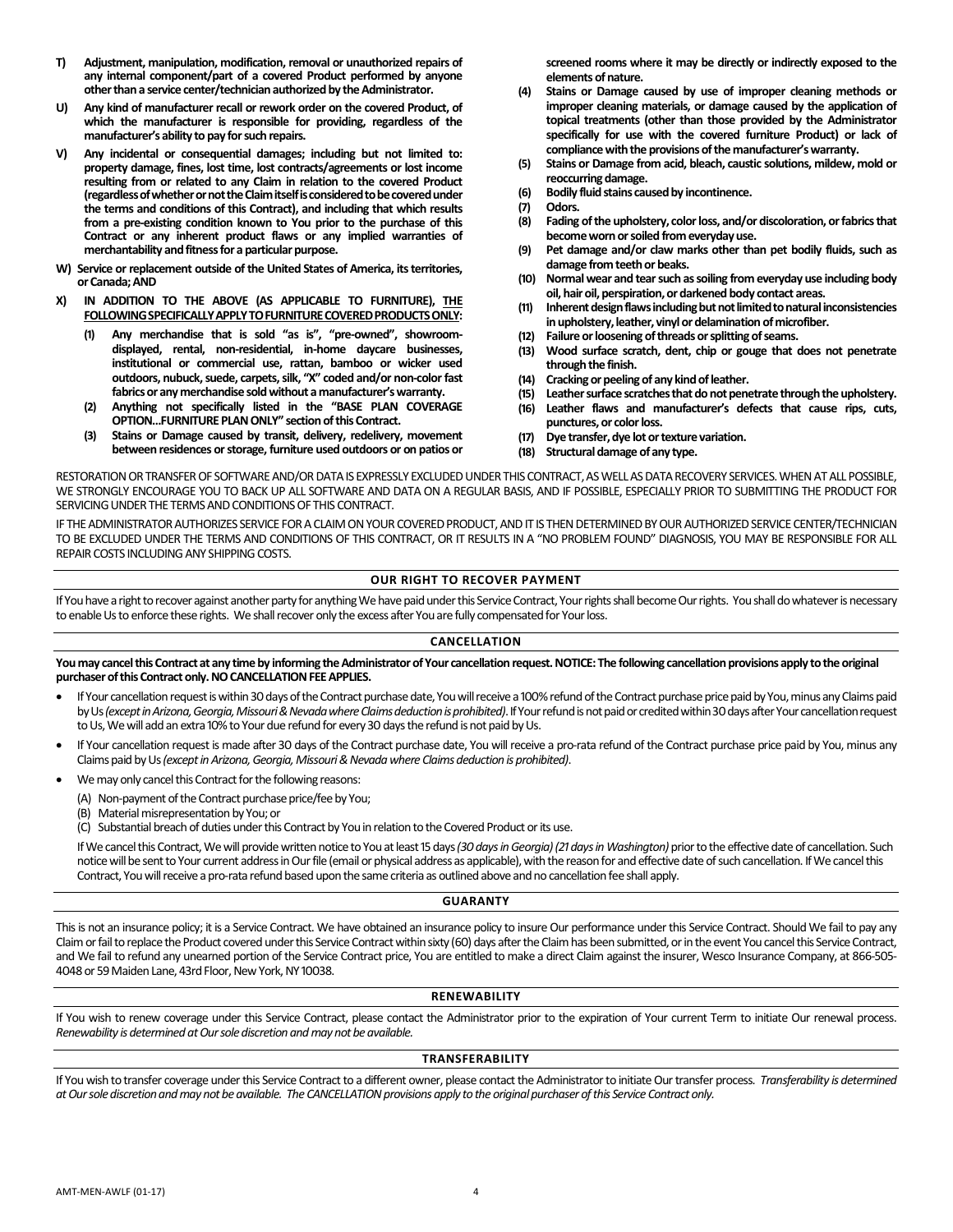- **T) Adjustment, manipulation, modification, removal or unauthorized repairs of any internal component/part of a covered Product performed by anyone other than a service center/technician authorized by the Administrator.**
- **U) Any kind of manufacturer recall or rework order on the covered Product, of which the manufacturer is responsible for providing, regardless of the manufacturer's ability to pay for such repairs.**
- **V) Any incidental or consequential damages; including but not limited to: property damage, fines, lost time, lost contracts/agreements or lost income resulting from or related to any Claim in relation to the covered Product (regardless of whether or not the Claim itself is considered to be covered under the terms and conditions of this Contract), and including that which results from a pre-existing condition known to You prior to the purchase of this Contract or any inherent product flaws or any implied warranties of merchantability and fitness for a particular purpose.**
- **W) Service or replacement outside of the United States of America, its territories, or Canada; AND**
- **X) IN ADDITION TO THE ABOVE (AS APPLICABLE TO FURNITURE), THE FOLLOWING SPECIFICALLY APPLY TO FURNITURE COVERED PRODUCTS ONLY:**
	- **(1) Any merchandise that is sold "as is", "pre-owned", showroomdisplayed, rental, non-residential, in-home daycare businesses, institutional or commercial use, rattan, bamboo or wicker used outdoors, nubuck, suede, carpets, silk, "X" coded and/or non-color fast fabrics or any merchandise sold without a manufacturer'swarranty.**
	- **(2) Anything not specifically listed in the "BASE PLAN COVERAGE OPTION…FURNITURE PLAN ONLY" section of this Contract.**
	- **(3) Stains or Damage caused by transit, delivery, redelivery, movement between residences or storage, furniture used outdoors or on patios or**

**screened rooms where it may be directly or indirectly exposed to the elements of nature.**

- **(4) Stains or Damage caused by use of improper cleaning methods or improper cleaning materials, or damage caused by the application of topical treatments (other than those provided by the Administrator specifically for use with the covered furniture Product) or lack of compliance with the provisions of the manufacturer's warranty.**
- **(5) Stains or Damage from acid, bleach, caustic solutions, mildew, mold or reoccurring damage.**
- **(6) Bodily fluid stains caused by incontinence.**
- **(7) Odors.**
- **(8) Fading of the upholstery, color loss, and/or discoloration, or fabrics that become worn or soiled from everyday use.**
- **(9) Pet damage and/or claw marks other than pet bodily fluids, such as damage from teeth or beaks.**
- **(10) Normal wear and tear such as soiling from everyday use including body oil, hair oil, perspiration, or darkened body contact areas.**
- **(11) Inherent design flaws including but not limited to natural inconsistencies in upholstery, leather, vinyl or delamination of microfiber.**
- **(12) Failure or loosening of threads or splitting of seams.**
- **(13) Wood surface scratch, dent, chip or gouge that does not penetrate through the finish.**
- **(14) Cracking or peeling of any kind of leather.**
- **(15) Leather surface scratches that do not penetrate through the upholstery.**
- **(16) Leather flaws and manufacturer's defects that cause rips, cuts, punctures, or color loss.**
- **(17) Dye transfer, dye lot or texture variation.**
- **(18) Structural damage of any type.**

RESTORATION OR TRANSFER OF SOFTWARE AND/OR DATA IS EXPRESSLY EXCLUDED UNDER THIS CONTRACT, AS WELL AS DATA RECOVERY SERVICES. WHEN AT ALL POSSIBLE, WE STRONGLY ENCOURAGE YOU TO BACK UP ALL SOFTWARE AND DATA ON A REGULAR BASIS, AND IF POSSIBLE, ESPECIALLY PRIOR TO SUBMITTING THE PRODUCT FOR SERVICING UNDER THE TERMS AND CONDITIONS OF THIS CONTRACT.

IF THE ADMINISTRATOR AUTHORIZES SERVICE FOR A CLAIM ON YOUR COVERED PRODUCT, AND IT IS THEN DETERMINED BY OUR AUTHORIZED SERVICE CENTER/TECHNICIAN TO BE EXCLUDED UNDER THE TERMS AND CONDITIONS OF THIS CONTRACT, OR IT RESULTS IN A "NO PROBLEM FOUND" DIAGNOSIS, YOU MAY BE RESPONSIBLE FOR ALL REPAIR COSTS INCLUDING ANY SHIPPING COSTS.

# **OUR RIGHT TO RECOVER PAYMENT**

If You have a right to recover against another party for anything We have paid under this Service Contract, Your rights shall become Our rights. You shall do whatever is necessary to enable Us to enforce these rights. We shall recover only the excess after Youare fully compensated for Your loss.

# **CANCELLATION**

**You may cancel this Contract at any time by informing the Administrator of Your cancellation request. NOTICE: The following cancellation provisions apply to the original purchaser of thisContract only. NO CANCELLATION FEE APPLIES.**

- If Your cancellation request is within 30 days of the Contract purchase date, You will receive a 100% refund of the Contract purchase price paid by You, minus any Claims paid by Us *(except in Arizona, Georgia, Missouri & Nevada where Claims deduction is prohibited)*. If Your refund is not paid or credited within 30 days after Your cancellation request to Us, We will add an extra 10% to Your due refund for every 30 days the refund is not paid by Us.
- If Your cancellation request is made after 30 days of the Contract purchase date, You will receive a pro-rata refund of the Contract purchase price paid by You, minus any Claims paid by Us *(except in Arizona, Georgia, Missouri & Nevada where Claims deduction is prohibited)*.
- We may only cancel this Contract for the following reasons:
- (A) Non-payment of the Contract purchase price/fee by You;
	- (B) Material misrepresentation by You; or
	- (C) Substantial breach of duties under this Contract by You in relation to the Covered Product or its use.

If We cancel this Contract, We will provide written notice to You at least 15 days *(30 days in Georgia) (21 days in Washington)* prior to the effective date of cancellation. Such notice will be sent to Your current address in Our file (email or physical address as applicable), with the reason for and effective date of such cancellation. If We cancel this Contract, You will receive a pro-rata refund based upon the same criteria as outlined above and no cancellation fee shall apply.

# **GUARANTY**

This is not an insurance policy; it is a Service Contract. We have obtained an insurance policy to insure Our performance under this Service Contract. Should We fail to pay any Claim or fail to replace the Product covered under this Service Contract within sixty (60) days after the Claim has been submitted, or in the event You cancel this Service Contract, and We fail to refund any unearned portion of the Service Contract price, You are entitled to make a direct Claim against the insurer, Wesco Insurance Company, at 866-505-4048 or 59 Maiden Lane, 43rd Floor, New York, NY 10038.

# **RENEWABILITY**

If You wish to renew coverage under this Service Contract, please contact the Administrator prior to the expiration of Your current Term to initiate Our renewal process. *Renewability is determined at Our sole discretion and may not be available.*

# **TRANSFERABILITY**

If You wish to transfer coverage under this Service Contract to a different owner, please contact the Administrator to initiate Our transfer process. Transferability is determined *at Our sole discretion and may not be available. The CANCELLATION provisions apply to the original purchaser of this Service Contract only.*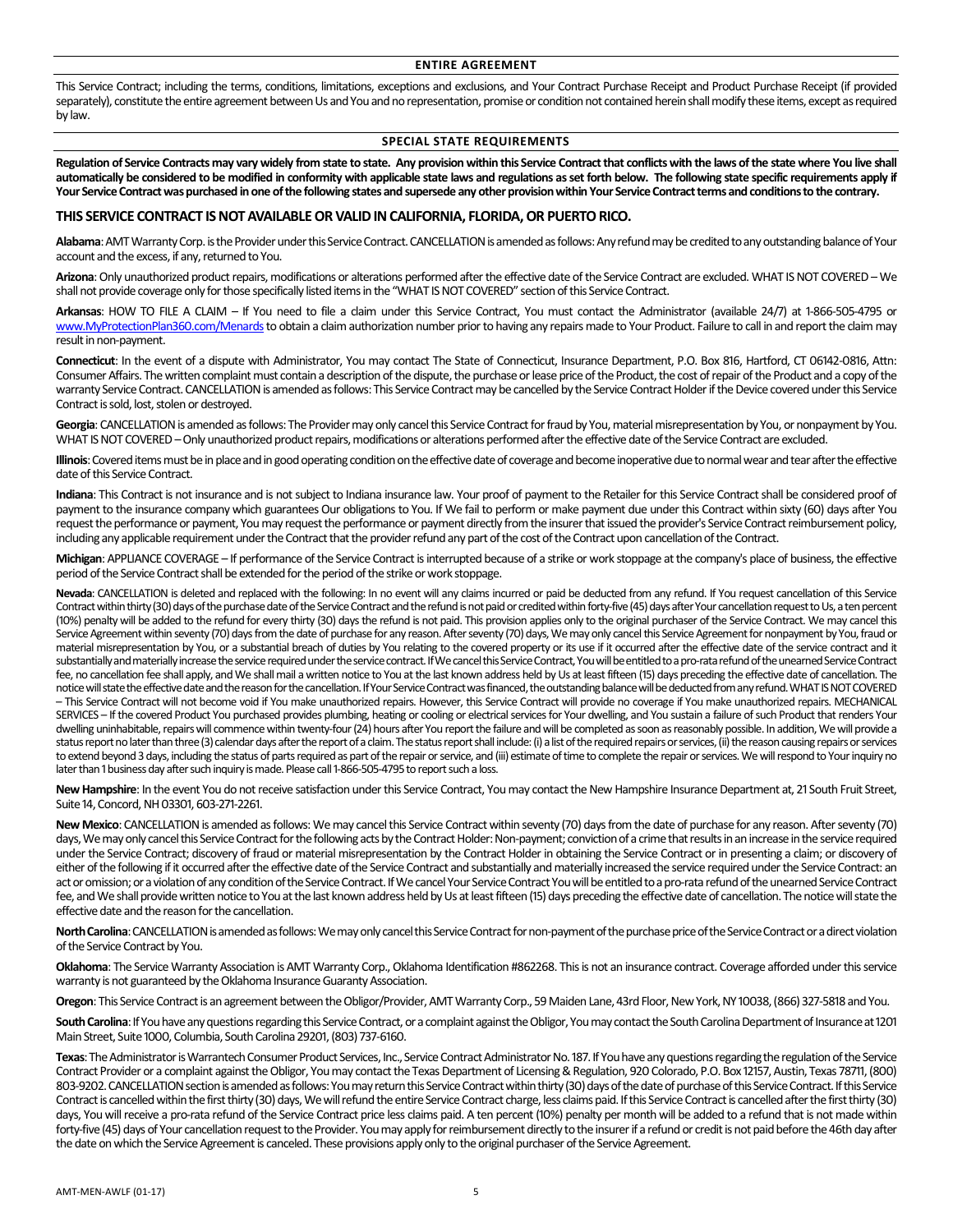## **ENTIRE AGREEMENT**

This Service Contract; including the terms, conditions, limitations, exceptions and exclusions, and Your Contract Purchase Receipt and Product Purchase Receipt (if provided separately), constitute the entire agreement between Us and You and no representation, promise or condition not contained herein shall modify these items, except as required by law.

## **SPECIAL STATE REQUIREMENTS**

**Regulation of Service Contracts may vary widely from state to state. Any provision within this Service Contractthat conflicts with the laws of the state where You live shall automatically be considered to be modified in conformity with applicable state laws and regulations as set forth below. The following state specific requirements apply if Your Service Contractwas purchased in one of the following states and supersede any other provision within Your Service Contractterms and conditions to the contrary.**

## **THIS SERVICE CONTRACT IS NOT AVAILABLE OR VALID IN CALIFORNIA, FLORIDA, OR PUERTO RICO.**

**Alabama**: AMT Warranty Corp. is the Provider under this Service Contract. CANCELLATION is amended as follows: Any refund may be credited to any outstanding balance of Your account and the excess, if any, returned to You.

**Arizona**: Only unauthorized product repairs, modifications or alterations performed after the effective date of the Service Contract are excluded. WHAT IS NOT COVERED – We shall not provide coverage only for those specifically listed items in the "WHAT IS NOT COVERED" section of this Service Contract.

**Arkansas**: HOW TO FILE A CLAIM – If You need to file a claim under this Service Contract, You must contact the Administrator (available 24/7) at 1-866-505-4795 or [www.MyProtectionPlan360.com/Menards](http://www.myprotectionplan360.com/Menards) to obtain a claim authorization number prior to having any repairs made to Your Product. Failure to call in and report the claim may result in non-payment.

**Connecticut**: In the event of a dispute with Administrator, You may contact The State of Connecticut, Insurance Department, P.O. Box 816, Hartford, CT 06142-0816, Attn: Consumer Affairs. The written complaint must contain a description of the dispute, the purchase or lease price of the Product, the cost of repair of the Product and a copy of the warranty Service Contract. CANCELLATION is amended as follows: This Service Contract may be cancelled by the Service Contract Holder if the Device covered under this Service Contract is sold, lost, stolen or destroyed.

Georgia: CANCELLATION is amended as follows: The Provider may only cancel this Service Contract for fraud by You, material misrepresentation by You, or nonpayment by You. WHAT IS NOT COVERED –Only unauthorized product repairs, modifications or alterations performed after the effective date of the Service Contract are excluded.

**Illinois**: Covered items must be in place and in good operating condition on the effective date of coverage and become inoperative due to normal wear and tear after the effective date of this Service Contract.

**Indiana**: This Contract is not insurance and is not subject to Indiana insurance law. Your proof of payment to the Retailer for this Service Contract shall be considered proof of payment to the insurance company which guarantees Our obligations to You. If We fail to perform or make payment due under this Contract within sixty (60) days after You request the performance or payment, You may request the performance or payment directly from the insurer that issued the provider's Service Contract reimbursement policy, including any applicable requirement under the Contract that the provider refund any part of the cost of the Contract upon cancellation of the Contract.

**Michigan**: APPLIANCE COVERAGE – If performance of the Service Contract is interrupted because of a strike or work stoppage at the company's place of business, the effective period of the Service Contract shall be extended for the period of the strike or work stoppage.

Nevada: CANCELLATION is deleted and replaced with the following: In no event will any claims incurred or paid be deducted from any refund. If You request cancellation of this Service Contract within thirty(30) days of the purchase date of the Service Contract and the refund is not paid or credited within forty-five (45) days after Your cancellation request to Us, a ten percent (10%) penalty will be added to the refund for every thirty (30) days the refund is not paid. This provision applies only to the original purchaser of the Service Contract. We may cancel this Service Agreement within seventy (70) days from the date of purchase for any reason. After seventy (70) days, We may only cancel this Service Agreement for nonpayment by You, fraud or material misrepresentation by You, or a substantial breach of duties by You relating to the covered property or its use if it occurred after the effective date of the service contract and it substantially and materially increase the service required under the service contract. If We cancel this Service Contract, You will be entitled to a pro-rata refund of the unearned Service Contract fee, no cancellation fee shall apply, and We shall mail a written notice to You at the last known address held by Us at least fifteen (15) days preceding the effective date of cancellation. The notice will state the effective date and the reason for the cancellation. If Your Service Contract was financed, the outstanding balance will be deducted from any refund. WHAT IS NOT COVERED – This Service Contract will not become void if You make unauthorized repairs. However, this Service Contract will provide no coverage if You make unauthorized repairs. MECHANICAL SERVICES – If the covered Product You purchased provides plumbing, heating or cooling or electrical services for Your dwelling, and You sustain a failure of such Product that renders Your dwelling uninhabitable, repairs will commence within twenty-four (24) hours after You report the failure and will be completed as soon as reasonably possible. In addition, We will provide a status report no later than three (3) calendar days after the report of a claim. The status report shall include: (i) a list of the required repairs or services, (ii) the reason causing repairs or services to extend beyond 3 days, including the status of parts required as part of the repair or service, and (iii) estimate of time to complete the repair or services. We will respond to Your inquiry no later than 1 business day after such inquiry is made. Please call 1-866-505-4795 to report such a loss.

**New Hampshire**: In the event You do not receive satisfaction under this Service Contract, You may contact the New Hampshire Insurance Department at, 21 South Fruit Street, Suite 14, Concord, NH 03301, 603-271-2261.

**New Mexico**: CANCELLATION is amended as follows: We may cancel this Service Contract within seventy (70) days from the date of purchase for any reason. After seventy (70) days, We may only cancel this Service Contract for the following acts by the Contract Holder: Non-payment; conviction of a crime that results in an increase in the service required under the Service Contract; discovery of fraud or material misrepresentation by the Contract Holder in obtaining the Service Contract or in presenting a claim; or discovery of either of the following if it occurred after the effective date of the Service Contract and substantially and materially increased the service required under the Service Contract: an act or omission; or a violation of any condition of the Service Contract. If We cancel Your Service Contract You will be entitled to a pro-rata refund of the unearned Service Contract fee, and We shall provide written notice to You at the last known address held by Us at least fifteen (15) days preceding the effective date of cancellation. The notice will state the effective date and the reason for the cancellation.

**North Carolina**: CANCELLATION is amended as follows: We may only cancel this Service Contract for non-payment of the purchase price of the Service Contract or a direct violation of the Service Contract by You.

**Oklahoma**: The Service Warranty Association is AMT Warranty Corp., Oklahoma Identification #862268. This is not an insurance contract. Coverage afforded under this service warranty is not guaranteed by the Oklahoma Insurance Guaranty Association.

**Oregon**: This Service Contract is an agreement between the Obligor/Provider, AMT Warranty Corp., 59 Maiden Lane, 43rd Floor, New York, NY 10038, (866) 327-5818 and You.

**South Carolina**: If You have any questions regarding this Service Contract, or a complaint against the Obligor, You may contact the South Carolina Department of Insurance at 1201 Main Street, Suite 1000, Columbia, South Carolina 29201, (803) 737-6160.

**Texas**: The Administrator is Warrantech Consumer Product Services, Inc., Service Contract Administrator No. 187. If You have any questions regarding the regulation of the Service Contract Provider or a complaint against the Obligor, You may contact the Texas Department of Licensing & Regulation, 920 Colorado, P.O. Box 12157, Austin, Texas 78711, (800) 803-9202. CANCELLATION section is amended as follows: You may return this Service Contract within thirty (30) days of the date of purchase of this Service Contract. If this Service Contract is cancelled within the first thirty (30) days, We will refund the entire Service Contract charge, less claims paid. If this Service Contract is cancelled after the first thirty (30) days, You will receive a pro-rata refund of the Service Contract price less claims paid. A ten percent (10%) penalty per month will be added to a refund that is not made within forty-five (45) days of Your cancellation request to the Provider. You may apply for reimbursement directly to the insurer if a refund or credit is not paid before the 46th day after the date on which the Service Agreement is canceled. These provisions apply only to the original purchaser of the Service Agreement.